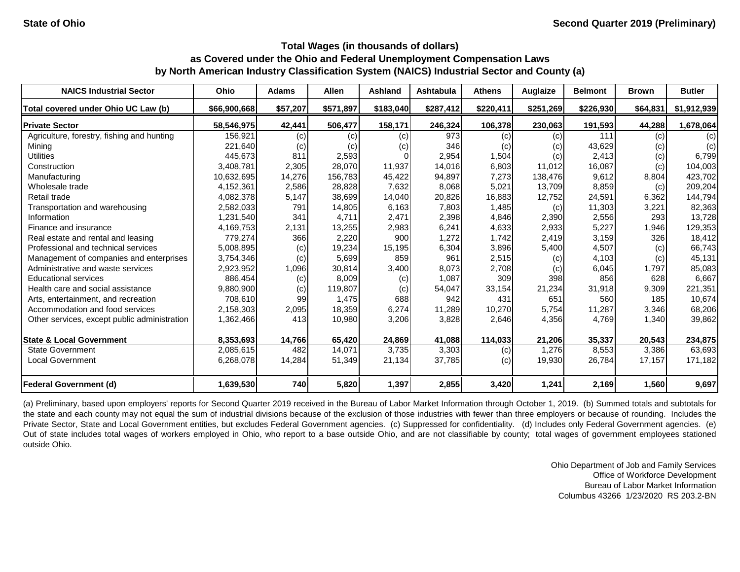| <b>NAICS Industrial Sector</b>               | Ohio         | <b>Adams</b> | <b>Allen</b> | <b>Ashland</b> | Ashtabula | <b>Athens</b> | Auglaize          | <b>Belmont</b> | <b>Brown</b> | <b>Butler</b> |
|----------------------------------------------|--------------|--------------|--------------|----------------|-----------|---------------|-------------------|----------------|--------------|---------------|
| Total covered under Ohio UC Law (b)          | \$66,900,668 | \$57,207     | \$571,897    | \$183,040      | \$287,412 | \$220,411     | \$251,269         | \$226,930      | \$64,831     | \$1,912,939   |
| <b>Private Sector</b>                        | 58,546,975   | 42,441       | 506,477      | 158,171        | 246,324   | 106,378       | 230,063           | 191,593        | 44,288       | 1,678,064     |
| Agriculture, forestry, fishing and hunting   | 156,921      | (c)          | (c)          | (c)            | 973       | (c)           | (c)               | 111            | (c)          | (c)           |
| Mining                                       | 221,640      | (c)          | (c)          | (c)            | 346       | (c)           | (c)               | 43,629         | (c)          | (c)           |
| <b>Utilities</b>                             | 445,673      | 811          | 2,593        |                | 2,954     | 1,504         | (c)               | 2,413          | (c)          | 6,799         |
| Construction                                 | 3,408,781    | 2,305        | 28,070       | 11,937         | 14,016    | 6,803         | 11,012            | 16,087         | (c)          | 104,003       |
| Manufacturing                                | 10,632,695   | 14,276       | 156,783      | 45,422         | 94,897    | 7,273         | 138,476           | 9,612          | 8,804        | 423,702       |
| Wholesale trade                              | 4,152,361    | 2,586        | 28,828       | 7,632          | 8,068     | 5,021         | 13,709            | 8,859          | (c)          | 209,204       |
| Retail trade                                 | 4,082,378    | 5,147        | 38,699       | 14,040         | 20,826    | 16,883        | 12,752            | 24,591         | 6,362        | 144,794       |
| Transportation and warehousing               | 2,582,033    | 791          | 14,805       | 6,163          | 7,803     | 1,485         | (c)               | 11,303         | 3,221        | 82,363        |
| Information                                  | 1,231,540    | 341          | 4,711        | 2,471          | 2,398     | 4,846         | 2,390             | 2,556          | 293          | 13,728        |
| Finance and insurance                        | 4,169,753    | 2,131        | 13,255       | 2,983          | 6,241     | 4,633         | 2,933             | 5,227          | 1,946        | 129,353       |
| Real estate and rental and leasing           | 779,274      | 366          | 2,220        | 900            | 1,272     | 1,742         | 2,419             | 3,159          | 326          | 18,412        |
| Professional and technical services          | 5,008,895    | (c)          | 19,234       | 15,195         | 6,304     | 3,896         | 5,400             | 4,507          | (c)          | 66,743        |
| Management of companies and enterprises      | 3,754,346    | (c)          | 5,699        | 859            | 961       | 2,515         | (c)               | 4,103          | (c)          | 45,131        |
| Administrative and waste services            | 2,923,952    | 1,096        | 30,814       | 3,400          | 8,073     | 2,708         | $\left( c\right)$ | 6,045          | 1,797        | 85,083        |
| <b>Educational services</b>                  | 886,454      | (c)          | 8,009        | (c)            | 1,087     | 309           | 398               | 856            | 628          | 6,667         |
| Health care and social assistance            | 9,880,900    | (c)          | 119,807      | (c)            | 54,047    | 33,154        | 21,234            | 31,918         | 9,309        | 221,351       |
| Arts, entertainment, and recreation          | 708,610      | 99           | 1,475        | 688            | 942       | 431           | 651               | 560            | 185          | 10,674        |
| Accommodation and food services              | 2,158,303    | 2,095        | 18,359       | 6,274          | 11,289    | 10,270        | 5,754             | 11,287         | 3,346        | 68,206        |
| Other services, except public administration | 1,362,466    | 413          | 10,980       | 3,206          | 3,828     | 2,646         | 4,356             | 4,769          | 1,340        | 39,862        |
| <b>State &amp; Local Government</b>          | 8,353,693    | 14,766       | 65,420       | 24,869         | 41,088    | 114,033       | 21,206            | 35,337         | 20,543       | 234,875       |
| <b>State Government</b>                      | 2,085,615    | 482          | 14,071       | 3,735          | 3,303     | (c)           | 1,276             | 8,553          | 3,386        | 63,693        |
| <b>Local Government</b>                      | 6,268,078    | 14,284       | 51,349       | 21,134         | 37,785    | (c)           | 19,930            | 26,784         | 17,157       | 171,182       |
| <b>Federal Government (d)</b>                | 1,639,530    | 740          | 5,820        | 1,397          | 2,855     | 3,420         | 1,241             | 2,169          | 1,560        | 9,697         |

(a) Preliminary, based upon employers' reports for Second Quarter 2019 received in the Bureau of Labor Market Information through October 1, 2019. (b) Summed totals and subtotals for the state and each county may not equal the sum of industrial divisions because of the exclusion of those industries with fewer than three employers or because of rounding. Includes the Private Sector, State and Local Government entities, but excludes Federal Government agencies. (c) Suppressed for confidentiality. (d) Includes only Federal Government agencies. (e) Out of state includes total wages of workers employed in Ohio, who report to a base outside Ohio, and are not classifiable by county; total wages of government employees stationed outside Ohio.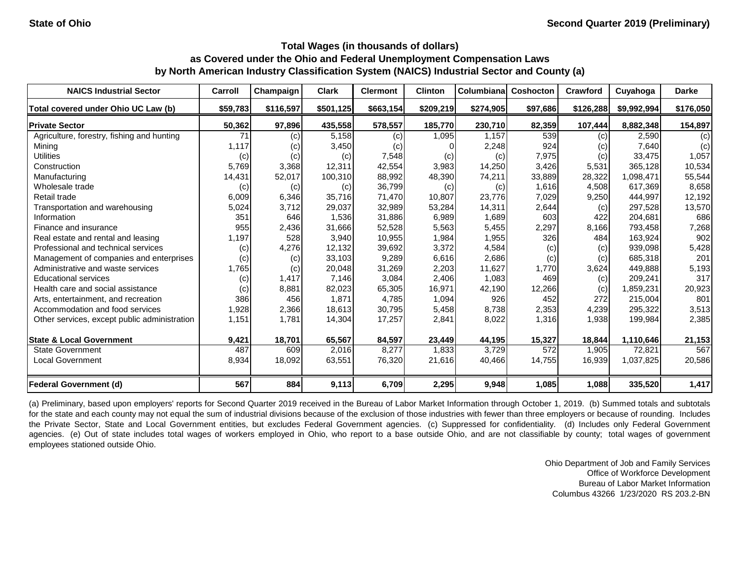| <b>NAICS Industrial Sector</b>               | Carroll  | Champaign | <b>Clark</b> | <b>Clermont</b> | <b>Clinton</b> | Columbiana | Coshocton        | Crawford  | Cuyahoga    | <b>Darke</b> |
|----------------------------------------------|----------|-----------|--------------|-----------------|----------------|------------|------------------|-----------|-------------|--------------|
| Total covered under Ohio UC Law (b)          | \$59,783 | \$116,597 | \$501,125    | \$663,154       | \$209,219      | \$274,905  | \$97,686         | \$126,288 | \$9,992,994 | \$176,050    |
| <b>Private Sector</b>                        | 50,362   | 97,896    | 435,558      | 578,557         | 185,770        | 230,710    | 82,359           | 107,444   | 8,882,348   | 154,897      |
| Agriculture, forestry, fishing and hunting   | 71       | (c)       | 5,158        | (c)             | 1,095          | 1,157      | 539              | (c)       | 2,590       | (c)          |
| Mining                                       | 1,117    | (c)       | 3,450        | (c)             |                | 2,248      | 924              | (c)       | 7,640       | (c)          |
| <b>Utilities</b>                             | (c)      | (c)       | (c)          | 7,548           | (c)            | (c)        | 7,975            | (c)       | 33,475      | 1,057        |
| Construction                                 | 5,769    | 3,368     | 12,311       | 42,554          | 3,983          | 14,250     | 3,426            | 5,531     | 365,128     | 10,534       |
| Manufacturing                                | 14,431   | 52,017    | 100,310      | 88,992          | 48,390         | 74,211     | 33,889           | 28,322    | 1,098,471   | 55,544       |
| Wholesale trade                              | (c)      | (c)       | (c)          | 36,799          | (c)            | (c)        | 1,616            | 4,508     | 617,369     | 8,658        |
| Retail trade                                 | 6,009    | 6,346     | 35,716       | 71,470          | 10,807         | 23,776     | 7,029            | 9,250     | 444,997     | 12,192       |
| Transportation and warehousing               | 5,024    | 3,712     | 29,037       | 32,989          | 53,284         | 14,311     | 2,644            | (c)       | 297,528     | 13,570       |
| Information                                  | 351      | 646       | 1,536        | 31,886          | 6,989          | 1,689      | 603              | 422       | 204,681     | 686          |
| Finance and insurance                        | 955      | 2,436     | 31,666       | 52,528          | 5,563          | 5,455      | 2,297            | 8,166     | 793,458     | 7,268        |
| Real estate and rental and leasing           | 1,197    | 528       | 3,940        | 10,955          | 1,984          | 1,955      | 326              | 484       | 163,924     | 902          |
| Professional and technical services          | (c)      | 4,276     | 12,132       | 39,692          | 3,372          | 4,584      | (c)              | (c)       | 939,098     | 5,428        |
| Management of companies and enterprises      | (c)      | (c)       | 33,103       | 9,289           | 6,616          | 2,686      | (c)              | (c)       | 685,318     | 201          |
| Administrative and waste services            | 1,765    | (c)       | 20,048       | 31,269          | 2,203          | 11,627     | 1,770            | 3,624     | 449,888     | 5,193        |
| <b>Educational services</b>                  | (c)      | 1,417     | 7,146        | 3,084           | 2,406          | 1,083      | 469              | (c)       | 209,241     | 317          |
| Health care and social assistance            | (c)      | 8,881     | 82,023       | 65,305          | 16,971         | 42,190     | 12,266           | (c)       | 1,859,231   | 20,923       |
| Arts, entertainment, and recreation          | 386      | 456       | 1,871        | 4,785           | 1,094          | 926        | 452              | 272       | 215,004     | 801          |
| Accommodation and food services              | 1,928    | 2,366     | 18,613       | 30,795          | 5,458          | 8,738      | 2,353            | 4,239     | 295,322     | 3,513        |
| Other services, except public administration | 1,151    | 1,781     | 14,304       | 17,257          | 2,841          | 8,022      | 1,316            | 1,938     | 199,984     | 2,385        |
| <b>State &amp; Local Government</b>          | 9,421    | 18,701    | 65,567       | 84,597          | 23,449         | 44,195     | 15,327           | 18,844    | 1,110,646   | 21,153       |
| <b>State Government</b>                      | 487      | 609       | 2,016        | 8,277           | 1,833          | 3,729      | $\overline{572}$ | 1,905     | 72,821      | 567          |
| <b>Local Government</b>                      | 8,934    | 18,092    | 63,551       | 76,320          | 21,616         | 40,466     | 14,755           | 16,939    | 1,037,825   | 20,586       |
| <b>Federal Government (d)</b>                | 567      | 884       | 9,113        | 6,709           | 2,295          | 9,948      | 1,085            | 1,088     | 335,520     | 1,417        |

(a) Preliminary, based upon employers' reports for Second Quarter 2019 received in the Bureau of Labor Market Information through October 1, 2019. (b) Summed totals and subtotals for the state and each county may not equal the sum of industrial divisions because of the exclusion of those industries with fewer than three employers or because of rounding. Includes the Private Sector, State and Local Government entities, but excludes Federal Government agencies. (c) Suppressed for confidentiality. (d) Includes only Federal Government agencies. (e) Out of state includes total wages of workers employed in Ohio, who report to a base outside Ohio, and are not classifiable by county; total wages of government employees stationed outside Ohio.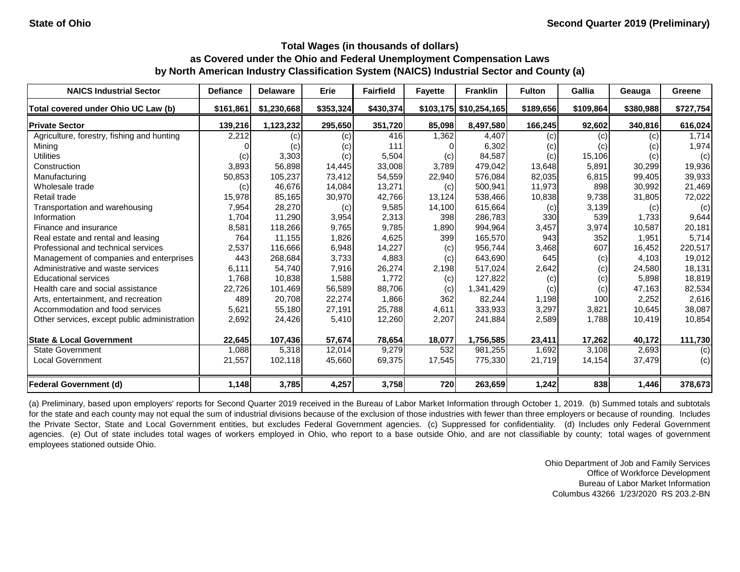| <b>NAICS Industrial Sector</b>               | <b>Defiance</b> | <b>Delaware</b> | Erie      | <b>Fairfield</b> | <b>Fayette</b> | <b>Franklin</b>          | <b>Fulton</b> | Gallia    | Geauga    | Greene    |
|----------------------------------------------|-----------------|-----------------|-----------|------------------|----------------|--------------------------|---------------|-----------|-----------|-----------|
| Total covered under Ohio UC Law (b)          | \$161,861       | \$1,230,668     | \$353,324 | \$430,374        |                | $$103,175$ $$10,254,165$ | \$189,656     | \$109,864 | \$380,988 | \$727,754 |
| <b>Private Sector</b>                        | 139,216         | 1,123,232       | 295,650   | 351,720          | 85,098         | 8,497,580                | 166,245       | 92,602    | 340,816   | 616,024   |
| Agriculture, forestry, fishing and hunting   | 2,212           | (c)             | (c)       | 416              | 1,362          | 4,407                    | (c)           | (c)       | (c)       | 1,714     |
| Mining                                       |                 | (c)             | (c)       | 111              |                | 6,302                    | (c)           | (c)       | (c)       | 1,974     |
| <b>Utilities</b>                             | (c)             | 3,303           | (c)       | 5,504            | (c)            | 84,587                   | (c)           | 15,106    | (c)       | (c)       |
| Construction                                 | 3,893           | 56,898          | 14,445    | 33,008           | 3,789          | 479,042                  | 13,648        | 5,891     | 30,299    | 19,936    |
| Manufacturing                                | 50,853          | 105,237         | 73,412    | 54,559           | 22,940         | 576,084                  | 82,035        | 6,815     | 99,405    | 39,933    |
| Wholesale trade                              | (c)             | 46,676          | 14,084    | 13,271           | (c)            | 500,941                  | 11,973        | 898       | 30,992    | 21,469    |
| Retail trade                                 | 15,978          | 85,165          | 30,970    | 42,766           | 13,124         | 538,466                  | 10,838        | 9,738     | 31,805    | 72,022    |
| Transportation and warehousing               | 7,954           | 28,270          | (c)       | 9,585            | 14,100         | 615,664                  | (c)           | 3,139     | (c)       | (c)       |
| Information                                  | 1,704           | 11,290          | 3,954     | 2,313            | 398            | 286,783                  | 330           | 539       | 1,733     | 9,644     |
| Finance and insurance                        | 8,581           | 118,266         | 9,765     | 9,785            | 1,890          | 994,964                  | 3,457         | 3,974     | 10,587    | 20,181    |
| Real estate and rental and leasing           | 764             | 11,155          | 1,826     | 4,625            | 399            | 165,570                  | 943           | 352       | 1,951     | 5,714     |
| Professional and technical services          | 2,537           | 116,666         | 6,948     | 14,227           | (c)            | 956,744                  | 3,468         | 607       | 16,452    | 220,517   |
| Management of companies and enterprises      | 443             | 268,684         | 3,733     | 4,883            | (c)            | 643,690                  | 645           | (c)       | 4,103     | 19,012    |
| Administrative and waste services            | 6,111           | 54,740          | 7,916     | 26,274           | 2,198          | 517,024                  | 2,642         | (c)       | 24,580    | 18,131    |
| <b>Educational services</b>                  | 1,768           | 10,838          | 1,588     | 1,772            | (c)            | 127,822                  | (c)           | (c)       | 5,898     | 18,819    |
| Health care and social assistance            | 22,726          | 101,469         | 56,589    | 88,706           | (c)            | 1,341,429                | (c)           | (c)       | 47,163    | 82,534    |
| Arts, entertainment, and recreation          | 489             | 20,708          | 22,274    | 1,866            | 362            | 82,244                   | 1,198         | 100       | 2,252     | 2,616     |
| Accommodation and food services              | 5,621           | 55,180          | 27,191    | 25,788           | 4,611          | 333,933                  | 3,297         | 3,821     | 10,645    | 38,087    |
| Other services, except public administration | 2,692           | 24,426          | 5,410     | 12,260           | 2,207          | 241,884                  | 2,589         | 1,788     | 10,419    | 10,854    |
| <b>State &amp; Local Government</b>          | 22,645          | 107,436         | 57,674    | 78,654           | 18,077         | 1,756,585                | 23,411        | 17,262    | 40,172    | 111,730   |
| <b>State Government</b>                      | 1,088           | 5,318           | 12,014    | 9,279            | 532            | 981,255                  | 1,692         | 3,108     | 2,693     | (c)       |
| <b>Local Government</b>                      | 21,557          | 102,118         | 45,660    | 69,375           | 17,545         | 775,330                  | 21,719        | 14,154    | 37,479    | (c)       |
| <b>Federal Government (d)</b>                | 1,148           | 3,785           | 4,257     | 3,758            | 720            | 263,659                  | 1,242         | 838       | 1,446     | 378,673   |

(a) Preliminary, based upon employers' reports for Second Quarter 2019 received in the Bureau of Labor Market Information through October 1, 2019. (b) Summed totals and subtotals for the state and each county may not equal the sum of industrial divisions because of the exclusion of those industries with fewer than three employers or because of rounding. Includes the Private Sector, State and Local Government entities, but excludes Federal Government agencies. (c) Suppressed for confidentiality. (d) Includes only Federal Government agencies. (e) Out of state includes total wages of workers employed in Ohio, who report to a base outside Ohio, and are not classifiable by county; total wages of government employees stationed outside Ohio.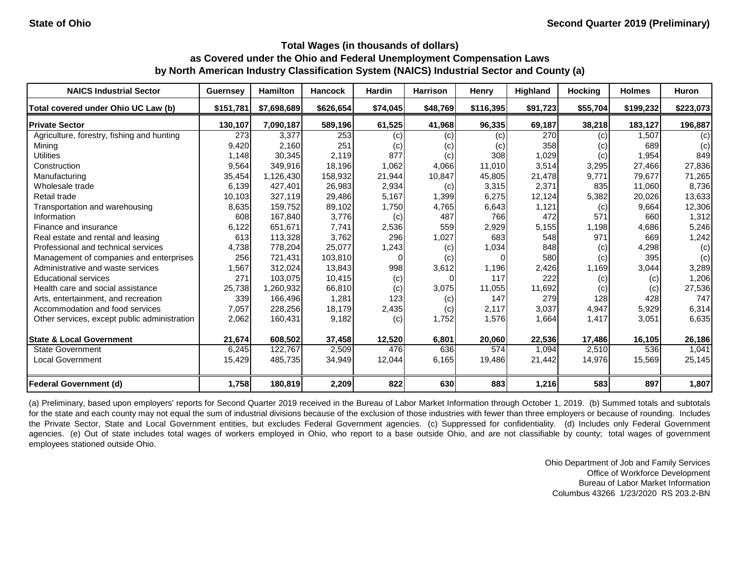| <b>NAICS Industrial Sector</b>               | <b>Guernsey</b> | <b>Hamilton</b> | <b>Hancock</b> | <b>Hardin</b> | <b>Harrison</b> | <b>Henry</b> | <b>Highland</b> | <b>Hocking</b> | <b>Holmes</b> | <b>Huron</b> |
|----------------------------------------------|-----------------|-----------------|----------------|---------------|-----------------|--------------|-----------------|----------------|---------------|--------------|
| Total covered under Ohio UC Law (b)          | \$151,781       | \$7,698,689     | \$626,654      | \$74,045      | \$48,769        | \$116,395    | \$91,723        | \$55,704       | \$199,232     | \$223,073    |
| <b>Private Sector</b>                        | 130,107         | 7,090,187       | 589,196        | 61,525        | 41,968          | 96,335       | 69,187          | 38,218         | 183,127       | 196,887      |
| Agriculture, forestry, fishing and hunting   | 273             | 3,377           | 253            | (c)           | (c)             | (c)          | 270             | (c)            | 1,507         | (c)          |
| Mining                                       | 9,420           | 2,160           | 251            | (c)           | (c)             | (C)          | 358             | (c)            | 689           | (c)          |
| <b>Utilities</b>                             | 1,148           | 30,345          | 2,119          | 877           | (c)             | 308          | 1,029           | (c)            | 1,954         | 849          |
| Construction                                 | 9,564           | 349,916         | 18,196         | 1,062         | 4,066           | 11,010       | 3,514           | 3,295          | 27,466        | 27,836       |
| Manufacturing                                | 35,454          | 1,126,430       | 158,932        | 21,944        | 10,847          | 45,805       | 21,478          | 9,771          | 79,677        | 71,265       |
| Wholesale trade                              | 6,139           | 427,401         | 26,983         | 2,934         | (c)             | 3,315        | 2,371           | 835            | 11,060        | 8,736        |
| Retail trade                                 | 10,103          | 327,119         | 29,486         | 5,167         | 1,399           | 6,275        | 12,124          | 5,382          | 20,026        | 13,633       |
| Transportation and warehousing               | 8,635           | 159,752         | 89,102         | 1,750         | 4,765           | 6,643        | 1,121           | (c)            | 9,664         | 12,306       |
| Information                                  | 608             | 167,840         | 3,776          | (c)           | 487             | 766          | 472             | 571            | 660           | 1,312        |
| Finance and insurance                        | 6,122           | 651,671         | 7,741          | 2,536         | 559             | 2,929        | 5,155           | 1,198          | 4,686         | 5,246        |
| Real estate and rental and leasing           | 613             | 113,328         | 3,762          | 296           | 1,027           | 683          | 548             | 971            | 669           | 1,242        |
| Professional and technical services          | 4,738           | 778,204         | 25,077         | 1,243         | (c)             | 1,034        | 848             | (c)            | 4,298         | (c)          |
| Management of companies and enterprises      | 256             | 721,431         | 103,810        |               | (c)             |              | 580             | (c)            | 395           | (c)          |
| Administrative and waste services            | 1,567           | 312,024         | 13,843         | 998           | 3,612           | 1,196        | 2,426           | 1,169          | 3,044         | 3,289        |
| <b>Educational services</b>                  | 271             | 103,075         | 10,415         | (c)           |                 | 117          | 222             | (c)            | (c)           | 1,206        |
| Health care and social assistance            | 25,738          | 1,260,932       | 66,810         | (c)           | 3,075           | 11,055       | 11,692          | (c)            | (c)           | 27,536       |
| Arts, entertainment, and recreation          | 339             | 166,496         | 1,281          | 123           | (c)             | 147          | 279             | 128            | 428           | 747          |
| Accommodation and food services              | 7,057           | 228,256         | 18,179         | 2,435         | (c)             | 2,117        | 3,037           | 4,947          | 5,929         | 6,314        |
| Other services, except public administration | 2,062           | 160,431         | 9,182          | (c)           | 1,752           | 1,576        | 1,664           | 1,417          | 3,051         | 6,635        |
| <b>State &amp; Local Government</b>          | 21,674          | 608,502         | 37,458         | 12,520        | 6,801           | 20,060       | 22,536          | 17,486         | 16,105        | 26,186       |
| <b>State Government</b>                      | 6,245           | 122,767         | 2,509          | 476           | 636             | 574          | 1,094           | 2,510          | 536           | 1,041        |
| <b>Local Government</b>                      | 15,429          | 485,735         | 34,949         | 12,044        | 6,165           | 19,486       | 21,442          | 14,976         | 15,569        | 25,145       |
| <b>Federal Government (d)</b>                | 1,758           | 180,819         | 2,209          | 822           | 630             | 883          | 1,216           | 583            | 897           | 1,807        |

(a) Preliminary, based upon employers' reports for Second Quarter 2019 received in the Bureau of Labor Market Information through October 1, 2019. (b) Summed totals and subtotals for the state and each county may not equal the sum of industrial divisions because of the exclusion of those industries with fewer than three employers or because of rounding. Includes the Private Sector, State and Local Government entities, but excludes Federal Government agencies. (c) Suppressed for confidentiality. (d) Includes only Federal Government agencies. (e) Out of state includes total wages of workers employed in Ohio, who report to a base outside Ohio, and are not classifiable by county; total wages of government employees stationed outside Ohio.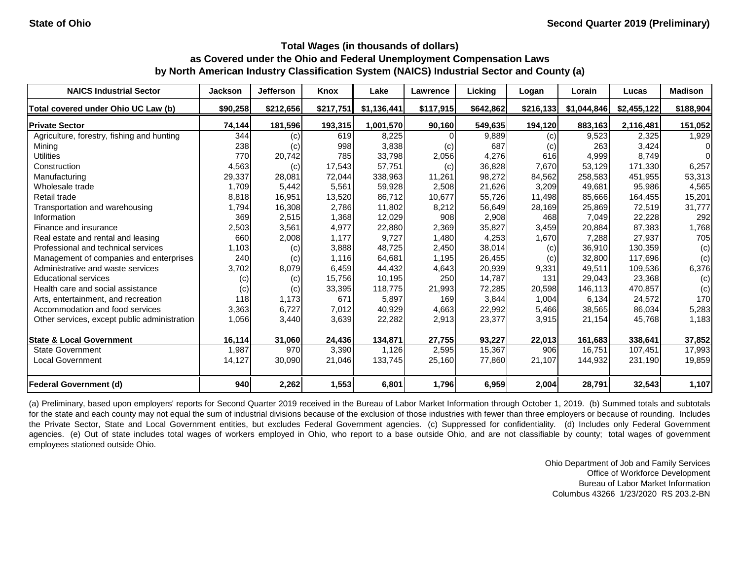| <b>NAICS Industrial Sector</b>               | <b>Jackson</b> | <b>Jefferson</b> | Knox      | Lake        | <b>Lawrence</b> | Licking   | Logan     | Lorain      | Lucas       | <b>Madison</b> |
|----------------------------------------------|----------------|------------------|-----------|-------------|-----------------|-----------|-----------|-------------|-------------|----------------|
| Total covered under Ohio UC Law (b)          | \$90,258       | \$212,656        | \$217,751 | \$1,136,441 | \$117,915       | \$642,862 | \$216,133 | \$1,044,846 | \$2,455,122 | \$188,904      |
| <b>Private Sector</b>                        | 74,144         | 181,596          | 193,315   | 1,001,570   | 90,160          | 549,635   | 194,120   | 883,163     | 2,116,481   | 151,052        |
| Agriculture, forestry, fishing and hunting   | 344            | (c)              | 619       | 8,225       |                 | 9,889     | (c)       | 9,523       | 2,325       | 1,929          |
| Mining                                       | 238            | (c)              | 998       | 3,838       | (c)             | 687       | (c)       | 263         | 3,424       | $\Omega$       |
| <b>Utilities</b>                             | 770            | 20,742           | 785       | 33,798      | 2,056           | 4,276     | 616       | 4,999       | 8,749       | $\Omega$       |
| Construction                                 | 4,563          | (c)              | 17,543    | 57,751      | (c)             | 36,828    | 7,670     | 53,129      | 171,330     | 6,257          |
| Manufacturing                                | 29,337         | 28,081           | 72,044    | 338,963     | 11,261          | 98,272    | 84,562    | 258,583     | 451,955     | 53,313         |
| Wholesale trade                              | 1,709          | 5,442            | 5,561     | 59,928      | 2,508           | 21,626    | 3,209     | 49,681      | 95,986      | 4,565          |
| Retail trade                                 | 8,818          | 16,951           | 13,520    | 86,712      | 10,677          | 55,726    | 11,498    | 85,666      | 164,455     | 15,201         |
| Transportation and warehousing               | 1,794          | 16,308           | 2,786     | 11,802      | 8,212           | 56,649    | 28,169    | 25,869      | 72,519      | 31,777         |
| Information                                  | 369            | 2,515            | 1,368     | 12,029      | 908             | 2,908     | 468       | 7,049       | 22,228      | 292            |
| Finance and insurance                        | 2,503          | 3,561            | 4,977     | 22,880      | 2,369           | 35,827    | 3,459     | 20,884      | 87,383      | 1,768          |
| Real estate and rental and leasing           | 660            | 2,008            | 1,177     | 9,727       | 1,480           | 4,253     | 1,670     | 7,288       | 27,937      | 705            |
| Professional and technical services          | 1,103          | (c)              | 3,888     | 48,725      | 2,450           | 38,014    | (c)       | 36,910      | 130,359     | (c)            |
| Management of companies and enterprises      | 240            | (c)              | 1,116     | 64,681      | 1,195           | 26,455    | (c)       | 32,800      | 117,696     | (c)            |
| Administrative and waste services            | 3,702          | 8,079            | 6,459     | 44,432      | 4,643           | 20,939    | 9,331     | 49,511      | 109,536     | 6,376          |
| <b>Educational services</b>                  | (c)            | (c)              | 15,756    | 10,195      | 250             | 14,787    | 131       | 29,043      | 23,368      | (c)            |
| Health care and social assistance            | (c)            | (c)              | 33,395    | 118,775     | 21,993          | 72,285    | 20,598    | 146,113     | 470,857     | (c)            |
| Arts, entertainment, and recreation          | 118            | 1,173            | 671       | 5,897       | 169             | 3,844     | 1,004     | 6,134       | 24,572      | 170            |
| Accommodation and food services              | 3,363          | 6,727            | 7,012     | 40,929      | 4,663           | 22,992    | 5,466     | 38,565      | 86,034      | 5,283          |
| Other services, except public administration | 1,056          | 3,440            | 3,639     | 22,282      | 2,913           | 23,377    | 3,915     | 21,154      | 45,768      | 1,183          |
| <b>State &amp; Local Government</b>          | 16,114         | 31,060           | 24,436    | 134,871     | 27,755          | 93,227    | 22,013    | 161,683     | 338,641     | 37,852         |
| <b>State Government</b>                      | 1,987          | 970              | 3,390     | 1,126       | 2,595           | 15,367    | 906       | 16,751      | 107,451     | 17,993         |
| <b>Local Government</b>                      | 14,127         | 30,090           | 21,046    | 133,745     | 25,160          | 77,860    | 21,107    | 144,932     | 231,190     | 19,859         |
| <b>Federal Government (d)</b>                | 940            | 2,262            | 1,553     | 6,801       | 1,796           | 6,959     | 2,004     | 28,791      | 32,543      | 1,107          |

(a) Preliminary, based upon employers' reports for Second Quarter 2019 received in the Bureau of Labor Market Information through October 1, 2019. (b) Summed totals and subtotals for the state and each county may not equal the sum of industrial divisions because of the exclusion of those industries with fewer than three employers or because of rounding. Includes the Private Sector, State and Local Government entities, but excludes Federal Government agencies. (c) Suppressed for confidentiality. (d) Includes only Federal Government agencies. (e) Out of state includes total wages of workers employed in Ohio, who report to a base outside Ohio, and are not classifiable by county; total wages of government employees stationed outside Ohio.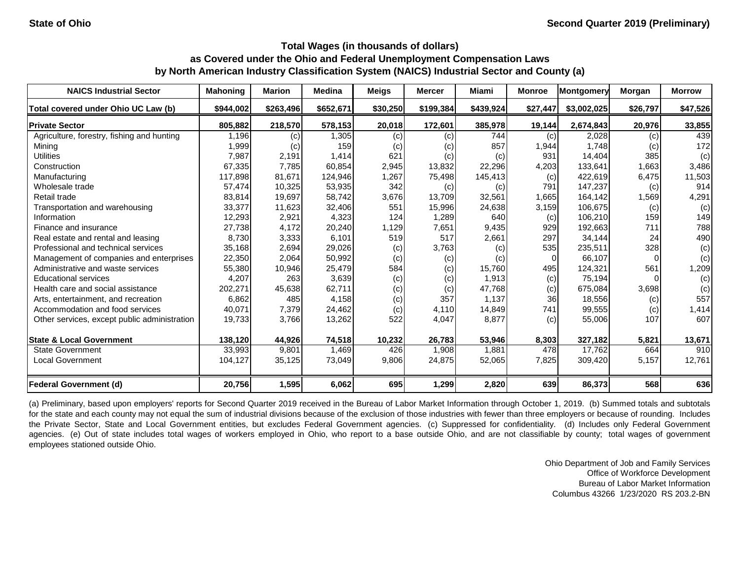| <b>NAICS Industrial Sector</b>               | <b>Mahoning</b> | <b>Marion</b> | <b>Medina</b> | <b>Meigs</b> | <b>Mercer</b> | Miami     | <b>Monroe</b> | <b>Montgomery</b> | Morgan   | <b>Morrow</b> |
|----------------------------------------------|-----------------|---------------|---------------|--------------|---------------|-----------|---------------|-------------------|----------|---------------|
| Total covered under Ohio UC Law (b)          | \$944,002       | \$263,496     | \$652,671     | \$30,250     | \$199,384     | \$439,924 | \$27,447      | \$3,002,025       | \$26,797 | \$47,526      |
| <b>Private Sector</b>                        | 805,882         | 218,570       | 578,153       | 20,018       | 172,601       | 385,978   | 19,144        | 2,674,843         | 20,976   | 33,855        |
| Agriculture, forestry, fishing and hunting   | 1,196           | (c)           | 1,305         | (c)          | (c)           | 744       | (c)           | 2,028             | (c)      | 439           |
| Mining                                       | 1,999           | (c)           | 159           | $\left( $    | (c)           | 857       | 1,944         | 1,748             | (c)      | 172           |
| <b>Utilities</b>                             | 7,987           | 2,191         | 1,414         | 621          | (c)           | (c)       | 931           | 14,404            | 385      | (c)           |
| Construction                                 | 67,335          | 7,785         | 60,854        | 2,945        | 13,832        | 22,296    | 4,203         | 133,641           | 1,663    | 3,486         |
| Manufacturing                                | 117,898         | 81,671        | 124,946       | 1,267        | 75,498        | 145,413   | (c)           | 422,619           | 6,475    | 11,503        |
| Wholesale trade                              | 57,474          | 10,325        | 53,935        | 342          | (c)           | (c)       | 791           | 147,237           | (c)      | 914           |
| Retail trade                                 | 83,814          | 19,697        | 58,742        | 3,676        | 13,709        | 32,561    | 1,665         | 164,142           | 1,569    | 4,291         |
| Transportation and warehousing               | 33,377          | 11,623        | 32,406        | 551          | 15,996        | 24,638    | 3,159         | 106,675           | (c)      | (c)           |
| Information                                  | 12,293          | 2,921         | 4,323         | 124          | 1,289         | 640       | (c)           | 106,210           | 159      | 149           |
| Finance and insurance                        | 27,738          | 4,172         | 20,240        | 1,129        | 7,651         | 9,435     | 929           | 192,663           | 711      | 788           |
| Real estate and rental and leasing           | 8,730           | 3,333         | 6,101         | 519          | 517           | 2,661     | 297           | 34,144            | 24       | 490           |
| Professional and technical services          | 35,168          | 2,694         | 29,026        | (c)          | 3,763         | (c)       | 535           | 235,511           | 328      | (c)           |
| Management of companies and enterprises      | 22,350          | 2,064         | 50,992        | (c)          | (c)           | (c)       | $\Omega$      | 66,107            | $\Omega$ | (c)           |
| Administrative and waste services            | 55,380          | 10,946        | 25,479        | 584          | (c)           | 15,760    | 495           | 124,321           | 561      | 1,209         |
| <b>Educational services</b>                  | 4,207           | 263           | 3,639         | (c)          | (c)           | 1,913     | (c)           | 75,194            |          | (c)           |
| Health care and social assistance            | 202,271         | 45,638        | 62,711        | (c)          | (c)           | 47,768    | (c)           | 675,084           | 3,698    | (c)           |
| Arts, entertainment, and recreation          | 6,862           | 485           | 4,158         | (c)          | 357           | 1,137     | 36            | 18,556            | (c)      | 557           |
| Accommodation and food services              | 40,071          | 7,379         | 24,462        | (c)          | 4,110         | 14,849    | 741           | 99,555            | (c)      | 1,414         |
| Other services, except public administration | 19,733          | 3,766         | 13,262        | 522          | 4,047         | 8,877     | (c)           | 55,006            | 107      | 607           |
| <b>State &amp; Local Government</b>          | 138,120         | 44,926        | 74,518        | 10,232       | 26,783        | 53,946    | 8,303         | 327,182           | 5,821    | 13,671        |
| <b>State Government</b>                      | 33,993          | 9,801         | 1,469         | 426          | 1,908         | 1,881     | 478           | 17,762            | 664      | 910           |
| <b>Local Government</b>                      | 104,127         | 35,125        | 73,049        | 9,806        | 24,875        | 52,065    | 7,825         | 309,420           | 5,157    | 12,761        |
| <b>Federal Government (d)</b>                | 20,756          | 1,595         | 6,062         | 695          | 1,299         | 2,820     | 639           | 86,373            | 568      | 636           |

(a) Preliminary, based upon employers' reports for Second Quarter 2019 received in the Bureau of Labor Market Information through October 1, 2019. (b) Summed totals and subtotals for the state and each county may not equal the sum of industrial divisions because of the exclusion of those industries with fewer than three employers or because of rounding. Includes the Private Sector, State and Local Government entities, but excludes Federal Government agencies. (c) Suppressed for confidentiality. (d) Includes only Federal Government agencies. (e) Out of state includes total wages of workers employed in Ohio, who report to a base outside Ohio, and are not classifiable by county; total wages of government employees stationed outside Ohio.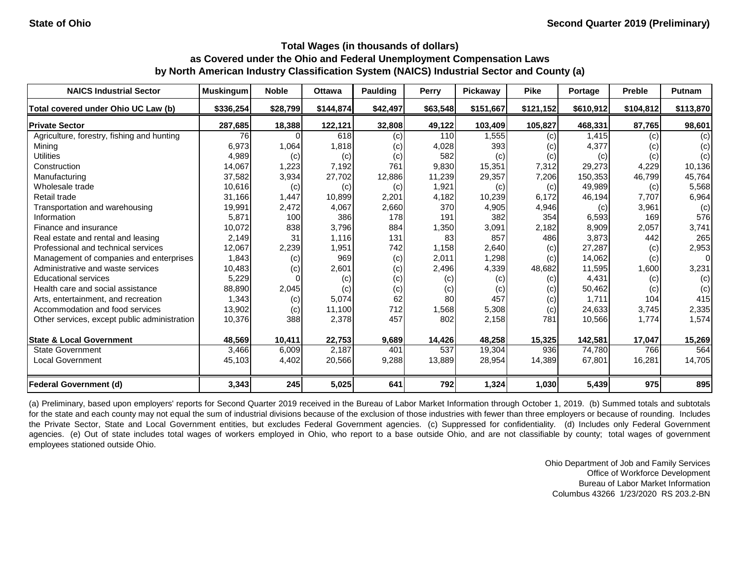| <b>NAICS Industrial Sector</b>               | <b>Muskingum</b> | <b>Noble</b> | <b>Ottawa</b> | <b>Paulding</b> | <b>Perry</b>     | <b>Pickaway</b> | <b>Pike</b> | Portage   | <b>Preble</b> | Putnam    |
|----------------------------------------------|------------------|--------------|---------------|-----------------|------------------|-----------------|-------------|-----------|---------------|-----------|
| Total covered under Ohio UC Law (b)          | \$336,254        | \$28,799     | \$144,874     | \$42,497        | \$63,548         | \$151,667       | \$121,152   | \$610,912 | \$104,812     | \$113,870 |
| <b>Private Sector</b>                        | 287,685          | 18,388       | 122,121       | 32,808          | 49,122           | 103,409         | 105,827     | 468,331   | 87,765        | 98,601    |
| Agriculture, forestry, fishing and hunting   | 76               |              | 618           | (c)             | 110              | 1,555           | (c)         | 1,415     | (c)           | (c)       |
| Mining                                       | 6,973            | 1,064        | 1,818         | (c)             | 4,028            | 393             | (c)         | 4,377     | (c)           | (c)       |
| <b>Utilities</b>                             | 4,989            | (c)          | (c)           | (c)             | 582              | (c)             | (c)         | (c)       | (c)           | (c)       |
| Construction                                 | 14,067           | 1,223        | 7,192         | 761             | 9,830            | 15,351          | 7,312       | 29,273    | 4,229         | 10,136    |
| Manufacturing                                | 37,582           | 3,934        | 27,702        | 12,886          | 11,239           | 29,357          | 7,206       | 150,353   | 46,799        | 45,764    |
| Wholesale trade                              | 10,616           | (c)          | (c)           | (c)             | 1,921            | (c)             | (c)         | 49,989    | (c)           | 5,568     |
| Retail trade                                 | 31,166           | 1,447        | 10,899        | 2,201           | 4,182            | 10,239          | 6,172       | 46,194    | 7,707         | 6,964     |
| Transportation and warehousing               | 19,991           | 2,472        | 4,067         | 2,660           | 370              | 4,905           | 4,946       | (c)       | 3,961         | (c)       |
| Information                                  | 5,871            | 100          | 386           | 178             | 191              | 382             | 354         | 6,593     | 169           | 576       |
| Finance and insurance                        | 10,072           | 838          | 3,796         | 884             | 1,350            | 3,091           | 2,182       | 8,909     | 2,057         | 3,741     |
| Real estate and rental and leasing           | 2,149            | 31           | 1,116         | 131             | 83               | 857             | 486         | 3,873     | 442           | 265       |
| Professional and technical services          | 12,067           | 2,239        | 1,951         | 742             | 1,158            | 2,640           | (c)         | 27,287    | (c)           | 2,953     |
| Management of companies and enterprises      | 1,843            | (c)          | 969           | (c)             | 2,011            | 1,298           | (c)         | 14,062    | (c)           | 0         |
| Administrative and waste services            | 10,483           | (c)          | 2,601         | (c)             | 2,496            | 4,339           | 48,682      | 11,595    | 1,600         | 3,231     |
| <b>Educational services</b>                  | 5,229            |              | (c)           | (c)             | (c)              | (c)             | (c)         | 4,431     | (c)           | (c)       |
| Health care and social assistance            | 88,890           | 2,045        | (c)           | (c)             | (c)              | (c)             | (c)         | 50,462    | (c)           | (c)       |
| Arts, entertainment, and recreation          | 1,343            | (c)          | 5,074         | 62              | 80               | 457             | (c)         | 1,711     | 104           | 415       |
| Accommodation and food services              | 13,902           | (c)          | 11,100        | 712             | 1,568            | 5,308           | (c)         | 24,633    | 3,745         | 2,335     |
| Other services, except public administration | 10,376           | 388          | 2,378         | 457             | 802              | 2,158           | 781         | 10,566    | 1,774         | 1,574     |
| <b>State &amp; Local Government</b>          | 48,569           | 10,411       | 22,753        | 9,689           | 14,426           | 48,258          | 15,325      | 142,581   | 17,047        | 15,269    |
| <b>State Government</b>                      | 3,466            | 6,009        | 2,187         | 401             | $\overline{537}$ | 19,304          | 936         | 74,780    | 766           | 564       |
| <b>Local Government</b>                      | 45,103           | 4,402        | 20,566        | 9,288           | 13,889           | 28,954          | 14,389      | 67,801    | 16,281        | 14,705    |
| <b>Federal Government (d)</b>                | 3,343            | 245          | 5,025         | 641             | 792              | 1,324           | 1,030       | 5,439     | 975           | 895       |

(a) Preliminary, based upon employers' reports for Second Quarter 2019 received in the Bureau of Labor Market Information through October 1, 2019. (b) Summed totals and subtotals for the state and each county may not equal the sum of industrial divisions because of the exclusion of those industries with fewer than three employers or because of rounding. Includes the Private Sector, State and Local Government entities, but excludes Federal Government agencies. (c) Suppressed for confidentiality. (d) Includes only Federal Government agencies. (e) Out of state includes total wages of workers employed in Ohio, who report to a base outside Ohio, and are not classifiable by county; total wages of government employees stationed outside Ohio.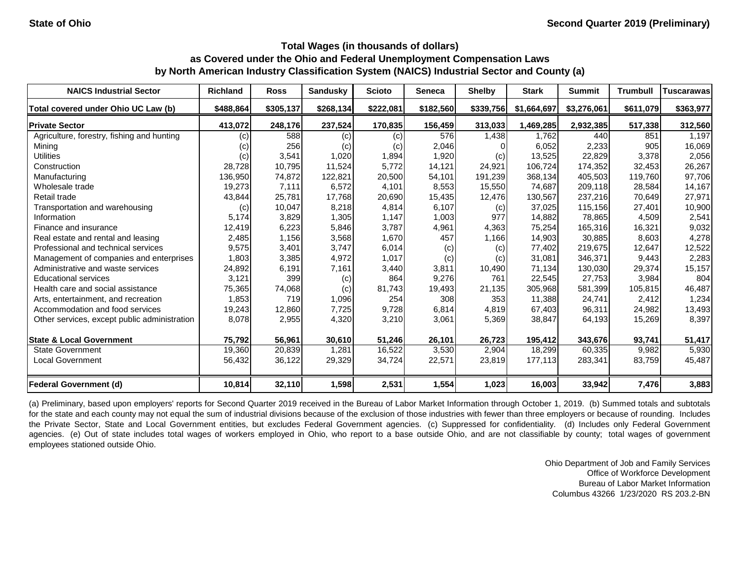| <b>NAICS Industrial Sector</b>               | <b>Richland</b> | <b>Ross</b> | <b>Sandusky</b> | <b>Scioto</b> | <b>Seneca</b> | <b>Shelby</b> | <b>Stark</b> | <b>Summit</b> | <b>Trumbull</b> | Tuscarawas |
|----------------------------------------------|-----------------|-------------|-----------------|---------------|---------------|---------------|--------------|---------------|-----------------|------------|
| Total covered under Ohio UC Law (b)          | \$488,864       | \$305,137   | \$268,134       | \$222,081     | \$182,560     | \$339,756     | \$1,664,697  | \$3,276,061   | \$611,079       | \$363,977  |
| <b>Private Sector</b>                        | 413,072         | 248,176     | 237,524         | 170,835       | 156,459       | 313,033       | 1,469,285    | 2,932,385     | 517,338         | 312,560    |
| Agriculture, forestry, fishing and hunting   | (c)             | 588         | (c)             | $\left( $     | 576           | 1,438         | 1,762        | 440           | 851             | 1,197      |
| Mining                                       | (c)             | 256         | (c)             | (c)           | 2,046         |               | 6,052        | 2,233         | 905             | 16,069     |
| <b>Utilities</b>                             | (c)             | 3,541       | 1,020           | 1,894         | 1,920         | (c)           | 13,525       | 22,829        | 3,378           | 2,056      |
| Construction                                 | 28,728          | 10,795      | 11,524          | 5,772         | 14,121        | 24,921        | 106,724      | 174,352       | 32,453          | 26,267     |
| Manufacturing                                | 136,950         | 74,872      | 122,821         | 20,500        | 54,101        | 191,239       | 368,134      | 405,503       | 119,760         | 97,706     |
| Wholesale trade                              | 19,273          | 7,111       | 6,572           | 4,101         | 8,553         | 15,550        | 74,687       | 209,118       | 28,584          | 14,167     |
| Retail trade                                 | 43,844          | 25,781      | 17,768          | 20,690        | 15,435        | 12,476        | 130,567      | 237,216       | 70,649          | 27,971     |
| Transportation and warehousing               | (c)             | 10,047      | 8,218           | 4,814         | 6,107         | (c)           | 37,025       | 115,156       | 27,401          | 10,900     |
| Information                                  | 5,174           | 3,829       | 1,305           | 1,147         | 1,003         | 977           | 14,882       | 78,865        | 4,509           | 2,541      |
| Finance and insurance                        | 12,419          | 6,223       | 5,846           | 3,787         | 4,961         | 4,363         | 75,254       | 165,316       | 16,321          | 9,032      |
| Real estate and rental and leasing           | 2,485           | 1,156       | 3,568           | 1,670         | 457           | 1,166         | 14,903       | 30,885        | 8,603           | 4,278      |
| Professional and technical services          | 9,575           | 3,401       | 3,747           | 6,014         | (c)           | (c)           | 77,402       | 219,675       | 12,647          | 12,522     |
| Management of companies and enterprises      | 1,803           | 3,385       | 4,972           | 1,017         | (c)           | (c)           | 31,081       | 346,371       | 9,443           | 2,283      |
| Administrative and waste services            | 24,892          | 6,191       | 7,161           | 3,440         | 3,811         | 10,490        | 71,134       | 130,030       | 29,374          | 15,157     |
| <b>Educational services</b>                  | 3,121           | 399         | (c)             | 864           | 9,276         | 761           | 22,545       | 27,753        | 3,984           | 804        |
| Health care and social assistance            | 75,365          | 74,068      | (c)             | 81,743        | 19,493        | 21,135        | 305,968      | 581,399       | 105,815         | 46,487     |
| Arts, entertainment, and recreation          | 1,853           | 719         | 1,096           | 254           | 308           | 353           | 11,388       | 24,741        | 2,412           | 1,234      |
| Accommodation and food services              | 19,243          | 12,860      | 7,725           | 9,728         | 6,814         | 4,819         | 67,403       | 96,311        | 24,982          | 13,493     |
| Other services, except public administration | 8,078           | 2,955       | 4,320           | 3,210         | 3,061         | 5,369         | 38,847       | 64,193        | 15,269          | 8,397      |
| <b>State &amp; Local Government</b>          | 75,792          | 56,961      | 30,610          | 51,246        | 26,101        | 26,723        | 195,412      | 343,676       | 93,741          | 51,417     |
| <b>State Government</b>                      | 19,360          | 20,839      | 1,281           | 16,522        | 3,530         | 2,904         | 18,299       | 60,335        | 9,982           | 5,930      |
| <b>Local Government</b>                      | 56,432          | 36,122      | 29,329          | 34,724        | 22,571        | 23,819        | 177,113      | 283,341       | 83,759          | 45,487     |
| <b>Federal Government (d)</b>                | 10,814          | 32,110      | 1,598           | 2,531         | 1,554         | 1,023         | 16,003       | 33,942        | 7,476           | 3,883      |

(a) Preliminary, based upon employers' reports for Second Quarter 2019 received in the Bureau of Labor Market Information through October 1, 2019. (b) Summed totals and subtotals for the state and each county may not equal the sum of industrial divisions because of the exclusion of those industries with fewer than three employers or because of rounding. Includes the Private Sector, State and Local Government entities, but excludes Federal Government agencies. (c) Suppressed for confidentiality. (d) Includes only Federal Government agencies. (e) Out of state includes total wages of workers employed in Ohio, who report to a base outside Ohio, and are not classifiable by county; total wages of government employees stationed outside Ohio.